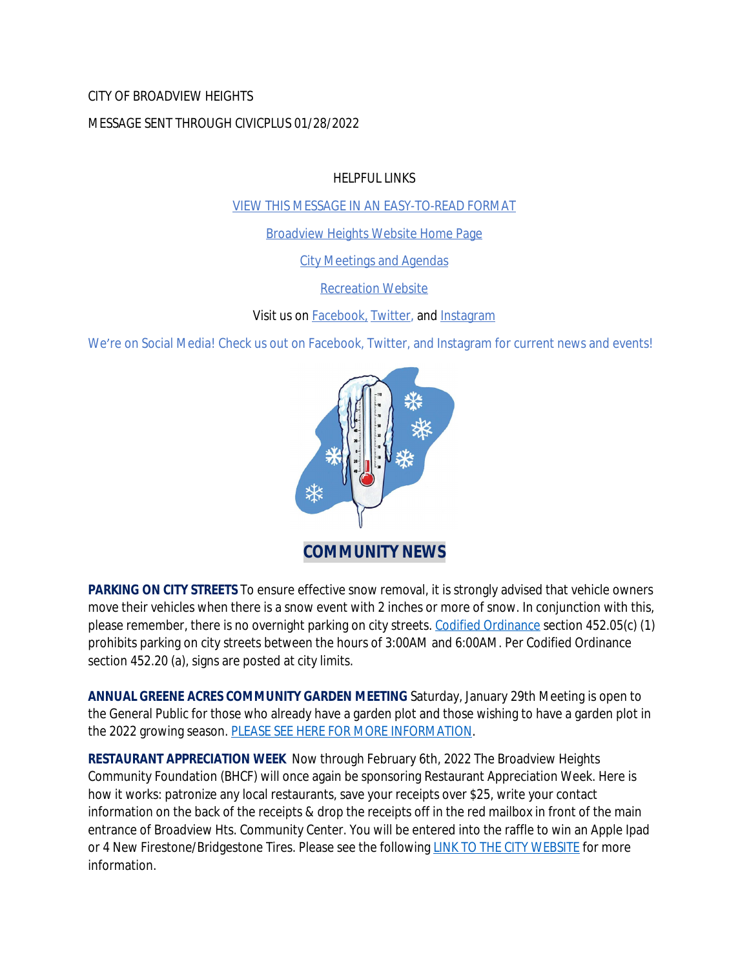### CITY OF BROADVIEW HEIGHTS

### MESSAGE SENT THROUGH CIVICPLUS 01/28/2022

HELPFUL LINKS

[VIEW THIS MESSAGE IN AN EASY-TO-READ FORMAT](https://www.broadview-heights.org/Archive.aspx?AMID=37)

[Broadview Heights Website Home Page](https://www.broadview-heights.org/)

[City Meetings and Agendas](https://www.broadview-heights.org/CivicAlerts.aspx?AID=175)

[Recreation Website](https://broadview-heights.org/292/Parks-Recreation)

Visit us on **Facebook**, **Twitter**, and **[Instagram](https://www.instagram.com/cityofbroadviewheights/)** 

We're on Social Media! Check us out on Facebook, Twitter, and Instagram for current news and events!



**PARKING ON CITY STREETS** To ensure effective snow removal, it is strongly advised that vehicle owners move their vehicles when there is a snow event with 2 inches or more of snow. In conjunction with this, please remember, there is no overnight parking on city streets. [Codified Ordinance](http://library.amlegal.com/nxt/gateway.dll/Ohio/broadviewhts/codifiedordinancesofbroadviewheightsohio?f=templates$fn=default.htm$3.0$vid=amlegal:broadviewhts_oh) section 452.05(c) (1) prohibits parking on city streets between the hours of 3:00AM and 6:00AM. Per Codified Ordinance section 452.20 (a), signs are posted at city limits.

**ANNUAL GREENE ACRES COMMUNITY GARDEN MEETING** Saturday, January 29th Meeting is open to the General Public for those who already have a garden plot and those wishing to have a garden plot in the 2022 growing season. [PLEASE SEE HERE FOR MORE INFORMATION](https://broadview-heights.org/Calendar.aspx?EID=3684).

**RESTAURANT APPRECIATION WEEK** Now through February 6th, 2022 The Broadview Heights Community Foundation (BHCF) will once again be sponsoring Restaurant Appreciation Week. Here is how it works: patronize any local restaurants, save your receipts over \$25, write your contact information on the back of the receipts & drop the receipts off in the red mailbox in front of the main entrance of Broadview Hts. Community Center. You will be entered into the raffle to win an Apple Ipad or 4 New Firestone/Bridgestone Tires. Please see the following [LINK TO THE CITY WEBSITE](https://www.broadview-heights.org/CivicAlerts.aspx?AID=305) for more information.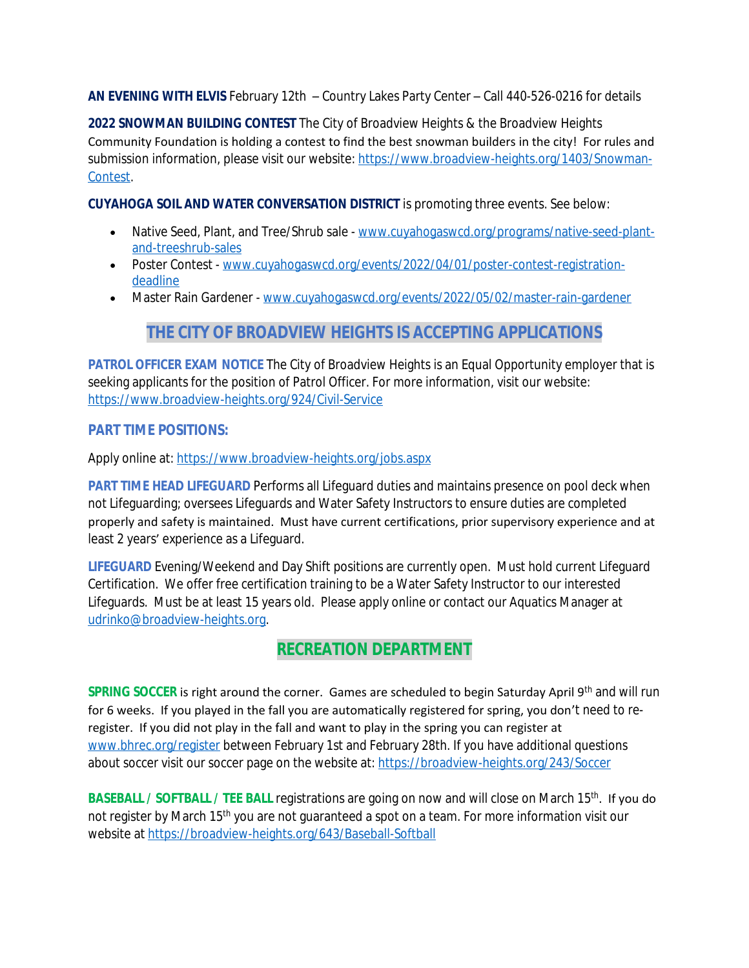**AN EVENING WITH ELVIS** February 12th – Country Lakes Party Center – Call 440-526-0216 for details

**2022 SNOWMAN BUILDING CONTEST** The City of Broadview Heights & the Broadview Heights Community Foundation is holding a contest to find the best snowman builders in the city! For rules and submission information, please visit our website: [https://www.broadview-heights.org/1403/Snowman-](https://www.broadview-heights.org/1403/Snowman-Contest)Contest.

**CUYAHOGA SOIL AND WATER CONVERSATION DISTRICT** is promoting three events. See below:

- Native Seed, Plant, and Tree/Shrub sale - [www.cuyahogaswcd.org/programs/native-seed-plant](http://www.cuyahogaswcd.org/programs/native-seed-plant-and-treeshrub-sales)and-treeshrub-sales
- Poster Contest - [www.cuyahogaswcd.org/events/2022/04/01/poster-contest-registration](http://www.cuyahogaswcd.org/events/2022/04/01/poster-contest-registration-deadline)deadline
- Master Rain Gardener - [www.cuyahogaswcd.org/events/2022/05/02/master-rain-gardener](http://www.cuyahogaswcd.org/events/2022/05/02/master-rain-gardener)

# **THE CITY OF BROADVIEW HEIGHTS IS ACCEPTING APPLICATIONS**

**PATROL OFFICER EXAM NOTICE** The City of Broadview Heights is an Equal Opportunity employer that is seeking applicants for the position of Patrol Officer. For more information, visit our website: <https://www.broadview-heights.org/924/Civil-Service>

## **PART TIME POSITIONS:**

Apply online at: <https://www.broadview-heights.org/jobs.aspx>

**PART TIME HEAD LIFEGUARD** Performs all Lifeguard duties and maintains presence on pool deck when not Lifeguarding; oversees Lifeguards and Water Safety Instructors to ensure duties are completed properly and safety is maintained. Must have current certifications, prior supervisory experience and at least 2 years' experience as a Lifeguard.

**LIFEGUARD** Evening/Weekend and Day Shift positions are currently open. Must hold current Lifeguard Certification. We offer free certification training to be a Water Safety Instructor to our interested Lifeguards. Must be at least 15 years old. Please apply online or contact our Aquatics Manager at [udrinko@broadview-heights.org](mailto:udrinko@broadview-heights.org).

# **RECREATION DEPARTMENT**

**SPRING SOCCER** is right around the corner. Games are scheduled to begin Saturday April 9<sup>th</sup> and will run for 6 weeks. If you played in the fall you are automatically registered for spring, you don't need to reregister. If you did not play in the fall and want to play in the spring you can register at [www.bhrec.org/register](http://www.bhrec.org/register) between February 1st and February 28th. If you have additional questions about soccer visit our soccer page on the website at:<https://broadview-heights.org/243/Soccer>

**BASEBALL / SOFTBALL / TEE BALL registrations are going on now and will close on March 15<sup>th</sup>. If you do** not register by March 15<sup>th</sup> you are not guaranteed a spot on a team. For more information visit our website at<https://broadview-heights.org/643/Baseball-Softball>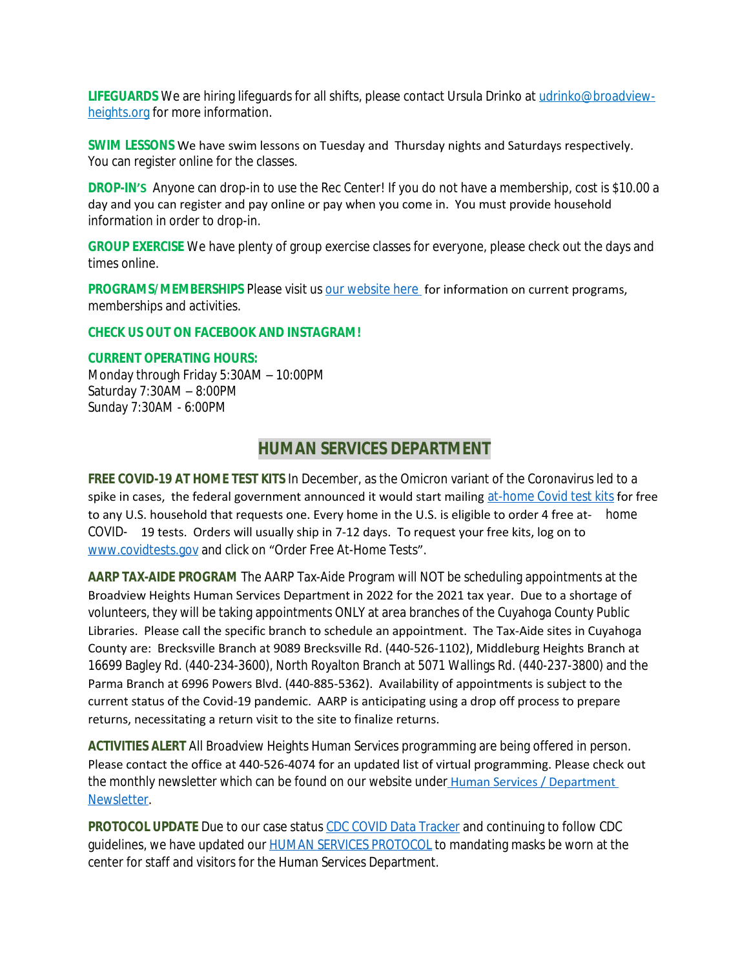**LIFEGUARDS** We are hiring lifeguards for all shifts, please contact Ursula Drinko at udrinko@broadviewheights.org for more information.

**SWIM LESSONS** We have swim lessons on Tuesday and Thursday nights and Saturdays respectively. You can register online for the classes.

**DROP-IN'S** Anyone can drop-in to use the Rec Center! If you do not have a membership, cost is \$10.00 a day and you can register and pay online or pay when you come in. You must provide household information in order to drop-in.

**GROUP EXERCISE** We have plenty of group exercise classes for everyone, please check out the days and times online.

**PROGRAMS/MEMBERSHIPS** Please visit us [our website here](https://www.broadview-heights.org/292/Parks-Recreation) for information on current programs, memberships and activities.

#### **CHECK US OUT ON FACEBOOK AND INSTAGRAM!**

#### **CURRENT OPERATING HOURS:**

Monday through Friday 5:30AM – 10:00PM Saturday 7:30AM – 8:00PM Sunday 7:30AM - 6:00PM

## **HUMAN SERVICES DEPARTMENT**

**FREE COVID-19 AT HOME TEST KITS** In December, as the Omicron variant of the Coronavirus led to a spike in cases, the federal government announced it would start mailing [at-home Covid test kits](https://www.nbcnews.com/health/cold-and-flu/startling-americans-feel-increased-anxiety-covid-cases-surge-rcna9415) for free to any U.S. household that requests one. Every home in the U.S. is eligible to order 4 free at- home COVID- 19 tests. Orders will usually ship in 7-12 days. To request your free kits, log on to [www.covidtests.gov](http://www.covidtests.gov) and click on "Order Free At-Home Tests".

**AARP TAX-AIDE PROGRAM** The AARP Tax-Aide Program will NOT be scheduling appointments at the Broadview Heights Human Services Department in 2022 for the 2021 tax year. Due to a shortage of volunteers, they will be taking appointments ONLY at area branches of the Cuyahoga County Public Libraries. Please call the specific branch to schedule an appointment. The Tax-Aide sites in Cuyahoga County are: Brecksville Branch at 9089 Brecksville Rd. (440-526-1102), Middleburg Heights Branch at 16699 Bagley Rd. (440-234-3600), North Royalton Branch at 5071 Wallings Rd. (440-237-3800) and the Parma Branch at 6996 Powers Blvd. (440-885-5362). Availability of appointments is subject to the current status of the Covid-19 pandemic. AARP is anticipating using a drop off process to prepare returns, necessitating a return visit to the site to finalize returns.

**ACTIVITIES ALERT** All Broadview Heights Human Services programming are being offered in person. Please contact the office at 440-526-4074 for an updated list of virtual programming. Please check out the monthly newsletter which can be found on our website under [Human Services / Department](https://mycommunityonline.com/find/broadview-heights-senior-center)  Newsletter.

**PROTOCOL UPDATE** Due to our case status [CDC COVID Data Tracker](https://covid.cdc.gov/covid-data-tracker/#county-view) and continuing to follow CDC guidelines, we have updated our [HUMAN SERVICES PROTOCOL](https://www.broadview-heights.org/DocumentCenter/View/8593/rHuman-Services-Responsible-RestartOhio-August-2021) to mandating masks be worn at the center for staff and visitors for the Human Services Department.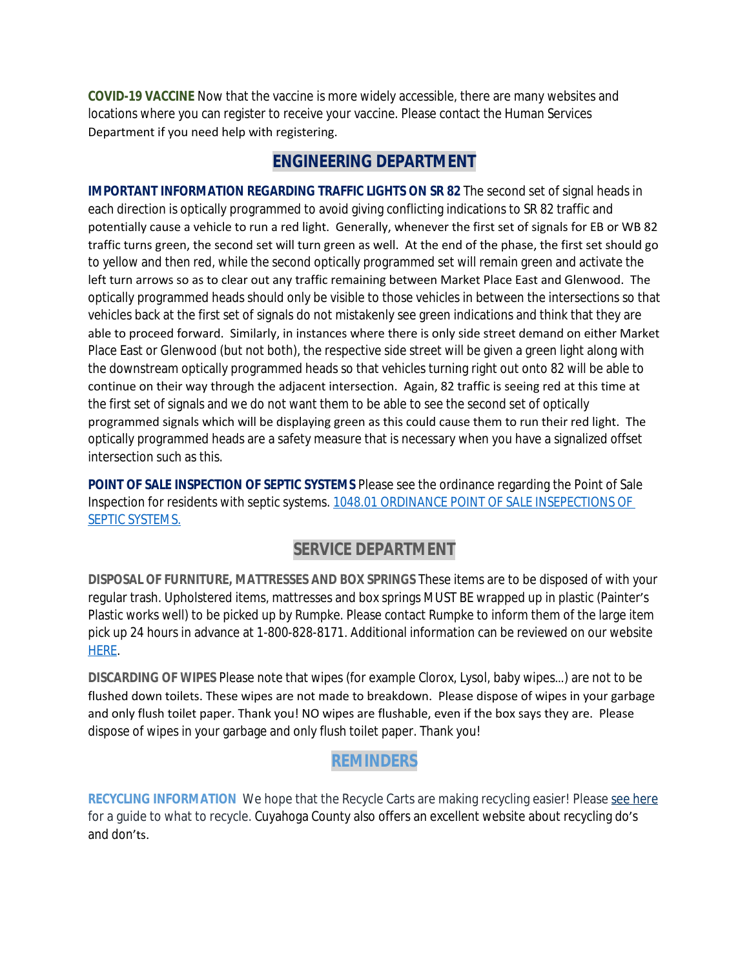**COVID-19 VACCINE** Now that the vaccine is more widely accessible, there are many websites and locations where you can register to receive your vaccine. Please contact the Human Services Department if you need help with registering.

## **ENGINEERING DEPARTMENT**

**IMPORTANT INFORMATION REGARDING TRAFFIC LIGHTS ON SR 82** The second set of signal heads in each direction is optically programmed to avoid giving conflicting indications to SR 82 traffic and potentially cause a vehicle to run a red light. Generally, whenever the first set of signals for EB or WB 82 traffic turns green, the second set will turn green as well. At the end of the phase, the first set should go to yellow and then red, while the second optically programmed set will remain green and activate the left turn arrows so as to clear out any traffic remaining between Market Place East and Glenwood. The optically programmed heads should only be visible to those vehicles in between the intersections so that vehicles back at the first set of signals do not mistakenly see green indications and think that they are able to proceed forward. Similarly, in instances where there is only side street demand on either Market Place East or Glenwood (but not both), the respective side street will be given a green light along with the downstream optically programmed heads so that vehicles turning right out onto 82 will be able to continue on their way through the adjacent intersection. Again, 82 traffic is seeing red at this time at the first set of signals and we do not want them to be able to see the second set of optically programmed signals which will be displaying green as this could cause them to run their red light. The optically programmed heads are a safety measure that is necessary when you have a signalized offset intersection such as this.

**POINT OF SALE INSPECTION OF SEPTIC SYSTEMS** Please see the ordinance regarding the Point of Sale Inspection for residents with septic systems. [1048.01 ORDINANCE POINT OF SALE INSEPECTIONS OF](https://codelibrary.amlegal.com/codes/broadviewhts/latest/broadview_oh/0-0-0-13398)  SEPTIC SYSTEMS.

# **SERVICE DEPARTMENT**

**DISPOSAL OF FURNITURE, MATTRESSES AND BOX SPRINGS** These items are to be disposed of with your regular trash. Upholstered items, mattresses and box springs MUST BE wrapped up in plastic (Painter's Plastic works well) to be picked up by Rumpke. Please contact Rumpke to inform them of the large item pick up 24 hours in advance at 1-800-828-8171. Additional information can be reviewed on our website [HERE.](https://www.broadview-heights.org/1027/Garbage-Recycling)

**DISCARDING OF WIPES** Please note that wipes (for example Clorox, Lysol, baby wipes…) are not to be flushed down toilets. These wipes are not made to breakdown. Please dispose of wipes in your garbage and only flush toilet paper. Thank you! NO wipes are flushable, even if the box says they are. Please dispose of wipes in your garbage and only flush toilet paper. Thank you!

# **REMINDERS**

**RECYCLING INFORMATION** We hope that the Recycle Carts are making recycling easier! Please [see here](https://broadview-heights.org/DocumentCenter/View/9125/Curbside-Recycling-in-Broadview-Heights-010622) for a guide to what to recycle. Cuyahoga County also offers an excellent website about recycling do's and don'ts.